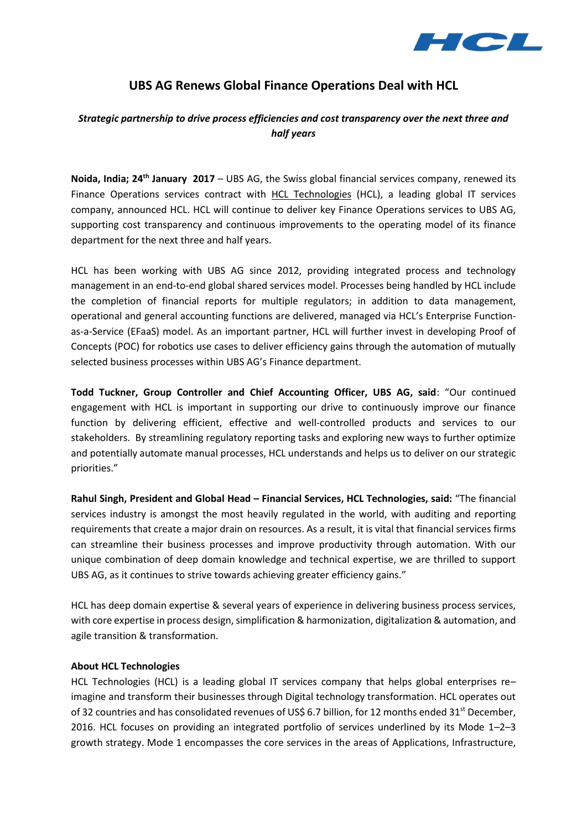

## **UBS AG Renews Global Finance Operations Deal with HCL**

## *Strategic partnership to drive process efficiencies and cost transparency over the next three and half years*

**Noida, India; 24th January 2017** – UBS AG, the Swiss global financial services company, renewed its Finance Operations services contract with [HCL Technologies](https://www.hcltech.com/) (HCL), a leading global IT services company, announced HCL. HCL will continue to deliver key Finance Operations services to UBS AG, supporting cost transparency and continuous improvements to the operating model of its finance department for the next three and half years.

HCL has been working with UBS AG since 2012, providing integrated process and technology management in an end-to-end global shared services model. Processes being handled by HCL include the completion of financial reports for multiple regulators; in addition to data management, operational and general accounting functions are delivered, managed via HCL's Enterprise Functionas-a-Service (EFaaS) model. As an important partner, HCL will further invest in developing Proof of Concepts (POC) for robotics use cases to deliver efficiency gains through the automation of mutually selected business processes within UBS AG's Finance department.

**Todd Tuckner, Group Controller and Chief Accounting Officer, UBS AG, said**: "Our continued engagement with HCL is important in supporting our drive to continuously improve our finance function by delivering efficient, effective and well-controlled products and services to our stakeholders. By streamlining regulatory reporting tasks and exploring new ways to further optimize and potentially automate manual processes, HCL understands and helps us to deliver on our strategic priorities."

**Rahul Singh, President and Global Head – Financial Services, HCL Technologies, said:** "The financial services industry is amongst the most heavily regulated in the world, with auditing and reporting requirements that create a major drain on resources. As a result, it is vital that financial services firms can streamline their business processes and improve productivity through automation. With our unique combination of deep domain knowledge and technical expertise, we are thrilled to support UBS AG, as it continues to strive towards achieving greater efficiency gains."

HCL has deep domain expertise & several years of experience in delivering business process services, with core expertise in process design, simplification & harmonization, digitalization & automation, and agile transition & transformation.

## **About HCL Technologies**

HCL Technologies (HCL) is a leading global IT services company that helps global enterprises reimagine and transform their businesses through Digital technology transformation. HCL operates out of 32 countries and has consolidated revenues of US\$ 6.7 billion, for 12 months ended 31<sup>st</sup> December, 2016. HCL focuses on providing an integrated portfolio of services underlined by its Mode 1–2–3 growth strategy. Mode 1 encompasses the core services in the areas of Applications, Infrastructure,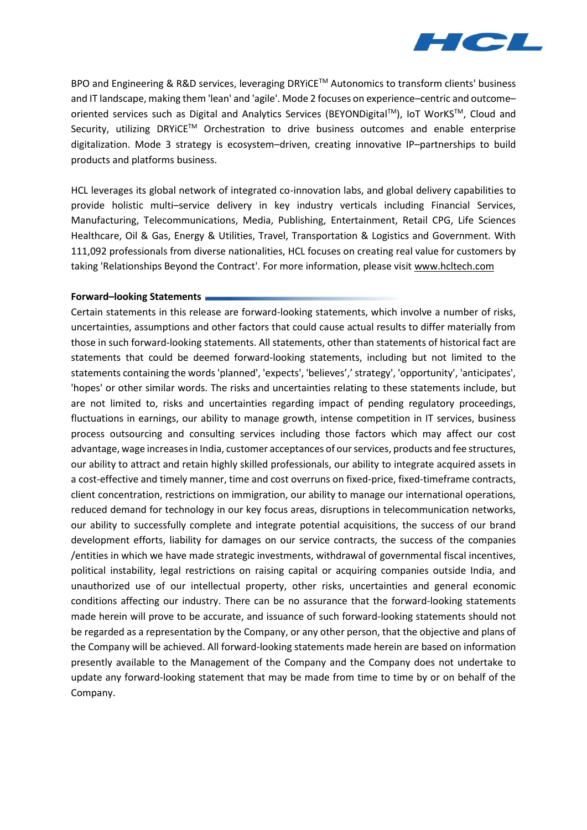

BPO and Engineering & R&D services, leveraging DRYICE™ Autonomics to transform clients' business and IT landscape, making them 'lean' and 'agile'. Mode 2 focuses on experience–centric and outcome– oriented services such as Digital and Analytics Services (BEYONDigital™), IoT WorKS™, Cloud and Security, utilizing DRYiCE™ Orchestration to drive business outcomes and enable enterprise digitalization. Mode 3 strategy is ecosystem–driven, creating innovative IP–partnerships to build products and platforms business.

HCL leverages its global network of integrated co-innovation labs, and global delivery capabilities to provide holistic multi–service delivery in key industry verticals including Financial Services, Manufacturing, Telecommunications, Media, Publishing, Entertainment, Retail CPG, Life Sciences Healthcare, Oil & Gas, Energy & Utilities, Travel, Transportation & Logistics and Government. With 111,092 professionals from diverse nationalities, HCL focuses on creating real value for customers by taking 'Relationships Beyond the Contract'. For more information, please visit [www.hcltech.com](http://www.hcltech.com/)

## **Forward–looking Statements**

Certain statements in this release are forward-looking statements, which involve a number of risks, uncertainties, assumptions and other factors that could cause actual results to differ materially from those in such forward-looking statements. All statements, other than statements of historical fact are statements that could be deemed forward-looking statements, including but not limited to the statements containing the words 'planned', 'expects', 'believes',' strategy', 'opportunity', 'anticipates', 'hopes' or other similar words. The risks and uncertainties relating to these statements include, but are not limited to, risks and uncertainties regarding impact of pending regulatory proceedings, fluctuations in earnings, our ability to manage growth, intense competition in IT services, business process outsourcing and consulting services including those factors which may affect our cost advantage, wage increases in India, customer acceptances of our services, products and fee structures, our ability to attract and retain highly skilled professionals, our ability to integrate acquired assets in a cost-effective and timely manner, time and cost overruns on fixed-price, fixed-timeframe contracts, client concentration, restrictions on immigration, our ability to manage our international operations, reduced demand for technology in our key focus areas, disruptions in telecommunication networks, our ability to successfully complete and integrate potential acquisitions, the success of our brand development efforts, liability for damages on our service contracts, the success of the companies /entities in which we have made strategic investments, withdrawal of governmental fiscal incentives, political instability, legal restrictions on raising capital or acquiring companies outside India, and unauthorized use of our intellectual property, other risks, uncertainties and general economic conditions affecting our industry. There can be no assurance that the forward-looking statements made herein will prove to be accurate, and issuance of such forward-looking statements should not be regarded as a representation by the Company, or any other person, that the objective and plans of the Company will be achieved. All forward-looking statements made herein are based on information presently available to the Management of the Company and the Company does not undertake to update any forward-looking statement that may be made from time to time by or on behalf of the Company.